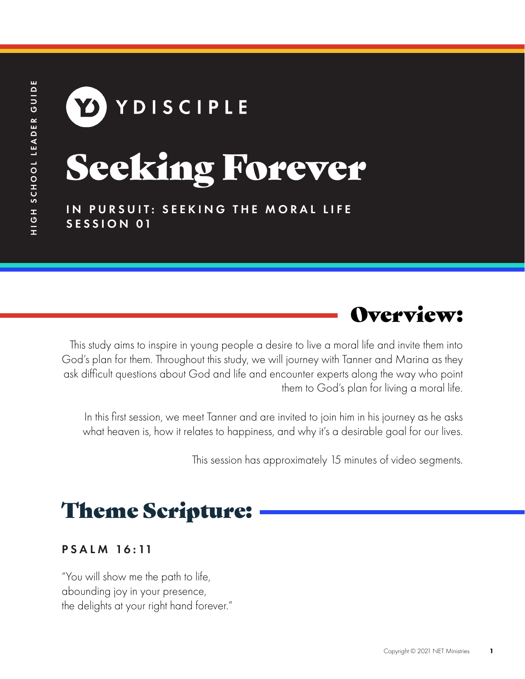# YDISCIPLE Seeking Forever

IN PURSUIT: SEEKING THE MORAL LIFE SESSION 01



This study aims to inspire in young people a desire to live a moral life and invite them into God's plan for them. Throughout this study, we will journey with Tanner and Marina as they ask difficult questions about God and life and encounter experts along the way who point them to God's plan for living a moral life.

In this first session, we meet Tanner and are invited to join him in his journey as he asks what heaven is, how it relates to happiness, and why it's a desirable goal for our lives.

This session has approximately 15 minutes of video segments.

### Theme Scripture:

#### P S A L M 16 : 11

"You will show me the path to life, abounding joy in your presence, the delights at your right hand forever."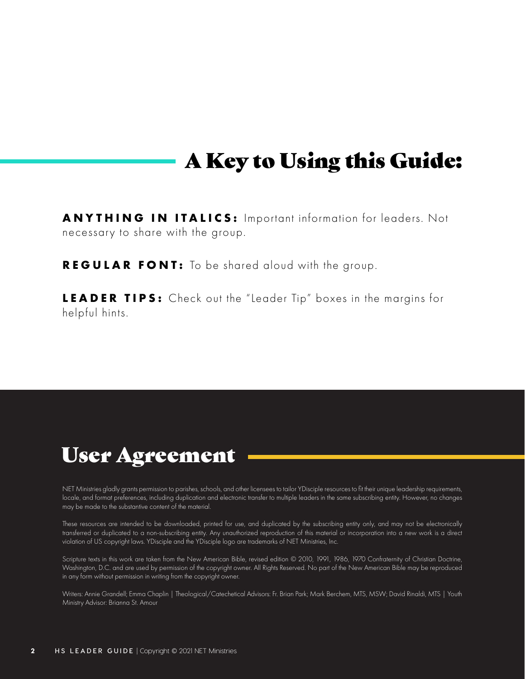### A Key to Using this Guide:

**ANYTHING IN ITALICS:** Important information for leaders. Not necessary to share with the group.

**REGULAR FONT:** To be shared aloud with the group.

**LEADER TIPS:** Check out the "Leader Tip" boxes in the margins for helpful hints.

### User Agreement

NET Ministries gladly grants permission to parishes, schools, and other licensees to tailor YDisciple resources to fit their unique leadership requirements, locale, and format preferences, including duplication and electronic transfer to multiple leaders in the same subscribing entity. However, no changes may be made to the substantive content of the material.

These resources are intended to be downloaded, printed for use, and duplicated by the subscribing entity only, and may not be electronically transferred or duplicated to a non-subscribing entity. Any unauthorized reproduction of this material or incorporation into a new work is a direct violation of US copyright laws. YDisciple and the YDisciple logo are trademarks of NET Ministries, Inc.

Scripture texts in this work are taken from the New American Bible, revised edition © 2010, 1991, 1986, 1970 Confraternity of Christian Doctrine, Washington, D.C. and are used by permission of the copyright owner. All Rights Reserved. No part of the New American Bible may be reproduced in any form without permission in writing from the copyright owner.

Writers: Annie Grandell; Emma Chaplin | Theological/Catechetical Advisors: Fr. Brian Park; Mark Berchem, MTS, MSW; David Rinaldi, MTS | Youth Ministry Advisor: Brianna St. Amour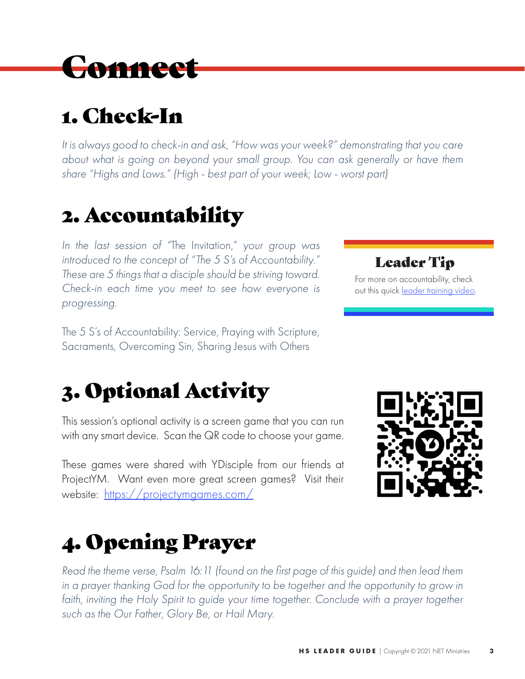### **Connect**

### 1. Check-In

*It is always good to check-in and ask, "How was your week?" demonstrating that you care about what is going on beyond your small group. You can ask generally or have them share "Highs and Lows." (High - best part of your week; Low - worst part)* 

### 2. Accountability

*In the last session of "*The Invitation," *your group was introduced to the concept of "The 5 S's of Accountability." These are 5 things that a disciple should be striving toward. Check-in each time you meet to see how everyone is progressing.* 

The 5 S's of Accountability: Service, Praying with Scripture, Sacraments, Overcoming Sin, Sharing Jesus with Others

### 3. Optional Activity

This session's optional activity is a screen game that you can run with any smart device. Scan the QR code to choose your game.

These games were shared with YDisciple from our friends at ProjectYM. Want even more great screen games? Visit their website: https://projectymgames.com/

### 4. Opening Prayer

*Read the theme verse, Psalm 16:11 (found on the first page of this guide) and then lead them*  in a prayer thanking God for the opportunity to be together and the opportunity to grow in faith, inviting the Holy Spirit to guide your time together. Conclude with a prayer together *such as the Our Father, Glory Be, or Hail Mary.*



Leader Tip For more on accountability, check

out this quick leader training video.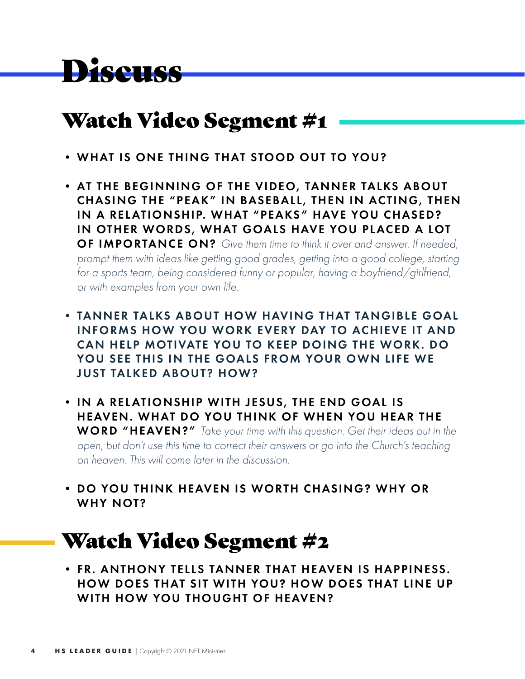## Discuss

#### Watch Video Segment #1

- WHAT IS ONE THING THAT STOOD OUT TO YOU?
- AT THE BEGINNING OF THE VIDEO, TANNER TALKS ABOUT CHASING THE "PEAK" IN BASEBALL, THEN IN ACTING, THEN IN A RELATIONSHIP. WHAT "PEAKS" HAVE YOU CHASED? IN OTHER WORDS, WHAT GOALS HAVE YOU PLACED A LOT OF IMPORTANCE ON? *Give them time to think it over and answer. If needed, prompt them with ideas like getting good grades, getting into a good college, starting for a sports team, being considered funny or popular, having a boyfriend/girlfriend, or with examples from your own life.*
- TANNER TALKS ABOUT HOW HAVING THAT TANGIBLE GOAL INFORMS HOW YOU WORK EVERY DAY TO ACHIEVE IT AND CAN HELP MOTIVATE YOU TO KEEP DOING THE WORK. DO YOU SEE THIS IN THE GOALS FROM YOUR OWN LIFE WE JUST TALKED ABOUT? HOW?
- IN A RELATIONSHIP WITH JESUS, THE END GOAL IS HEAVEN . WHAT DO YOU THINK OF WHEN YOU HEAR THE WORD "HEAVEN?" *Take your time with this question. Get their ideas out in the open, but don't use this time to correct their answers or go into the Church's teaching on heaven. This will come later in the discussion.*
- DO YOU THINK HEAVEN IS WORTH CHASING? WHY OR WHY NOT?

### Watch Video Segment #2

• FR. ANTHONY TELLS TANNER THAT HEAVEN IS HAPPINESS. HOW DOES THAT SIT WITH YOU? HOW DOES THAT LINE UP WITH HOW YOU THOUGHT OF HEAVEN?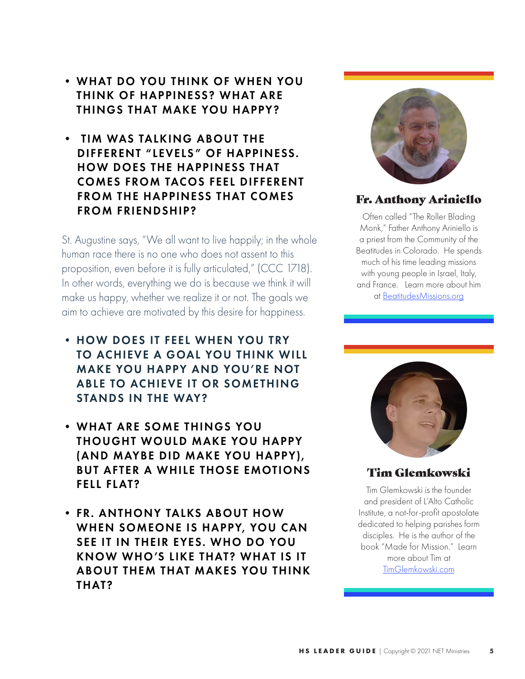- WHAT DO YOU THINK OF WHEN YOU THINK OF HAPPINESS? WHAT ARE THINGS THAT MAKE YOU HAPPY?
- TIM WAS TALKING ABOUT THE DIFFERENT "LEVELS" OF HAPPINESS. HOW DOES THE HAPPINESS THAT COMES FROM TACOS FEEL DIFFERENT FROM THE HAPPINESS THAT COMES FROM FRIENDSHIP?

St. Augustine says, "We all want to live happily; in the whole human race there is no one who does not assent to this proposition, even before it is fully articulated," (CCC 1718). In other words, everything we do is because we think it will make us happy, whether we realize it or not. The goals we aim to achieve are motivated by this desire for happiness.

- HOW DOES IT FEEL WHEN YOU TRY TO ACHIEVE A GOAL YOU THINK WILL MAKE YOU HAPPY AND YOU'RE NOT ABLE TO ACHIEVE IT OR SOMETHING STANDS IN THE WAY?
- WHAT ARE SOME THINGS YOU THOUGHT WOULD MAKE YOU HAPPY (AND MAYBE DID MAKE YOU HAPPY), BUT AFTER A WHILE THOSE EMOTIONS FELL FLAT?
- FR. ANTHONY TALKS ABOUT HOW WHEN SOMEONE IS HAPPY, YOU CAN SEE IT IN THEIR EYES. WHO DO YOU KNOW WHO 'S LIKE THAT? WHAT IS IT ABOUT THEM THAT MAKES YOU THINK THAT?



#### Fr. Anthony Ariniello

Often called "The Roller Blading Monk," Father Anthony Ariniello is a priest from the Community of the Beatitudes in Colorado. He spends much of his time leading missions with young people in Israel, Italy, and France. Learn more about him at BeatitudesMissions.org



#### Tim Glemkowski

Tim Glemkowski is the founder and president of L'Alto Catholic Institute, a not-for-profit apostolate dedicated to helping parishes form disciples. He is the author of the book "Made for Mission." Learn more about Tim at TimGlemkowski.com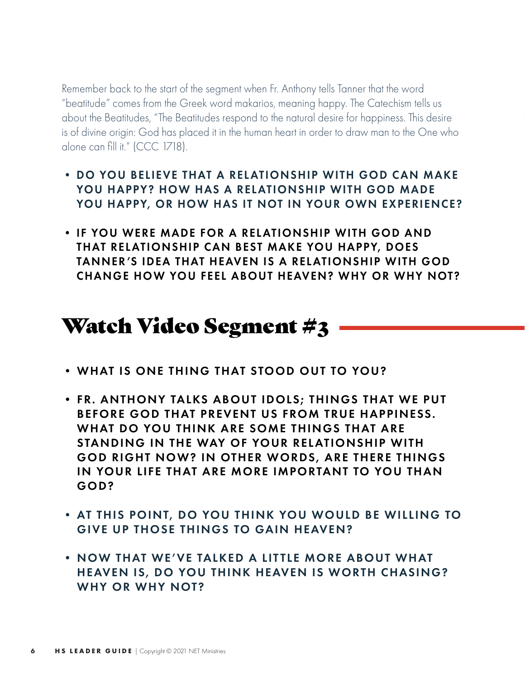Remember back to the start of the segment when Fr. Anthony tells Tanner that the word "beatitude" comes from the Greek word makarios, meaning happy. The Catechism tells us about the Beatitudes, "The Beatitudes respond to the natural desire for happiness. This desire is of divine origin: God has placed it in the human heart in order to draw man to the One who alone can fill it." (CCC 1718).

- DO YOU BELIEVE THAT A RELATIONSHIP WITH GOD CAN MAKE YOU HAPPY? HOW HAS A RELATIONSHIP WITH GOD MADE YOU HAPPY, OR HOW HAS IT NOT IN YOUR OWN EXPERIENCE?
- IF YOU WERE MADE FOR A RELATIONSHIP WITH GOD AND THAT RELATIONSHIP CAN BEST MAKE YOU HAPPY, DOES TANNER'S IDEA THAT HEAVEN IS A RELATIONSHIP WITH GOD CHANGE HOW YOU FEEL ABOUT HEAVEN? WHY OR WHY NOT?

### Watch Video Segment #3

- WHAT IS ONE THING THAT STOOD OUT TO YOU?
- FR. ANTHONY TALKS ABOUT IDOLS; THINGS THAT WE PUT BEFORE GOD THAT PREVENT US FROM TRUE HAPPINESS. WHAT DO YOU THINK ARE SOME THINGS THAT ARE STANDING IN THE WAY OF YOUR RELATIONSHIP WITH GOD RIGHT NOW? IN OTHER WORDS, ARE THERE THINGS IN YOUR LIFE THAT ARE MORE IMPORTANT TO YOU THAN GOD?
- AT THIS POINT, DO YOU THINK YOU WOULD BE WILLING TO GIVE UP THOSE THINGS TO GAIN HEAVEN?
- NOW THAT WE'VE TALKED A LITTLE MORE ABOUT WHAT HEAVEN IS, DO YOU THINK HEAVEN IS WORTH CHASING? WHY OR WHY NOT?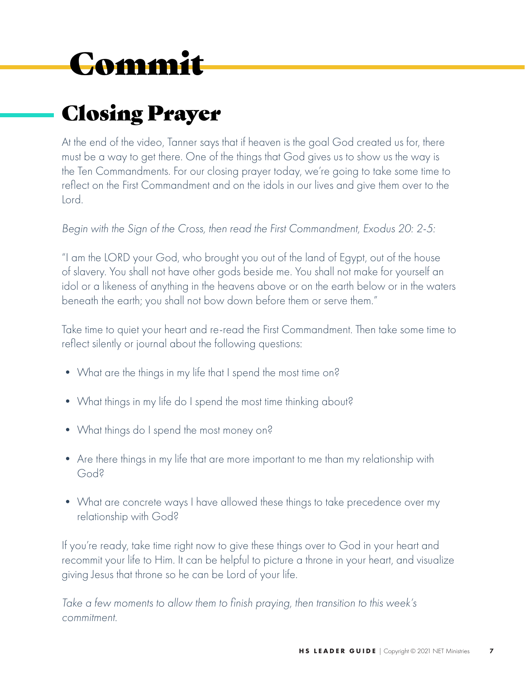# Commit

### Closing Prayer

At the end of the video, Tanner says that if heaven is the goal God created us for, there must be a way to get there. One of the things that God gives us to show us the way is the Ten Commandments. For our closing prayer today, we're going to take some time to reflect on the First Commandment and on the idols in our lives and give them over to the Lord.

*Begin with the Sign of the Cross, then read the First Commandment, Exodus 20: 2-5:*

"I am the LORD your God, who brought you out of the land of Egypt, out of the house of slavery. You shall not have other gods beside me. You shall not make for yourself an idol or a likeness of anything in the heavens above or on the earth below or in the waters beneath the earth; you shall not bow down before them or serve them."

Take time to quiet your heart and re-read the First Commandment. Then take some time to reflect silently or journal about the following questions:

- What are the things in my life that I spend the most time on?
- What things in my life do I spend the most time thinking about?
- What things do I spend the most money on?
- Are there things in my life that are more important to me than my relationship with God?
- What are concrete ways I have allowed these things to take precedence over my relationship with God?

If you're ready, take time right now to give these things over to God in your heart and recommit your life to Him. It can be helpful to picture a throne in your heart, and visualize giving Jesus that throne so he can be Lord of your life.

*Take a few moments to allow them to finish praying, then transition to this week's commitment.*